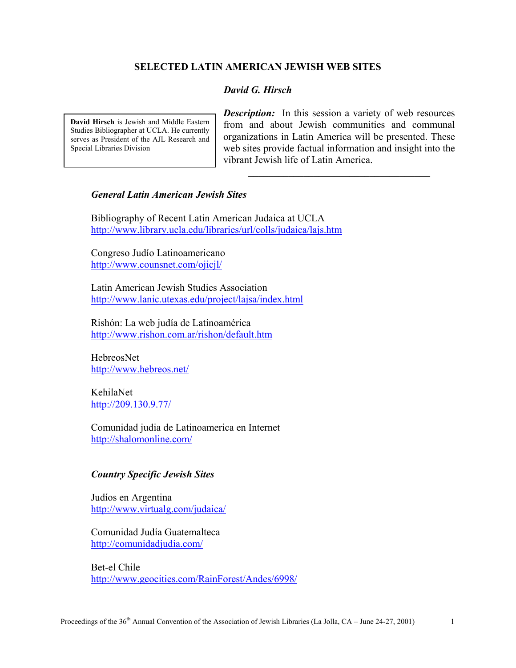## **SELECTED LATIN AMERICAN JEWISH WEB SITES**

# *David G. Hirsch*

**David Hirsch** is Jewish and Middle Eastern Studies Bibliographer at UCLA. He currently serves as President of the AJL Research and Special Libraries Division

*Description:* In this session a variety of web resources from and about Jewish communities and communal organizations in Latin America will be presented. These web sites provide factual information and insight into the vibrant Jewish life of Latin America.

 $\mathcal{L}_\text{max}$ 

# *General Latin American Jewish Sites*

Bibliography of Recent Latin American Judaica at UCLA http://www.library.ucla.edu/libraries/url/colls/judaica/lajs.htm

Congreso Judío Latinoamericano http://www.counsnet.com/ojicjl/

Latin American Jewish Studies Association http://www.lanic.utexas.edu/project/lajsa/index.html

Rishón: La web judía de Latinoamérica http://www.rishon.com.ar/rishon/default.htm

HebreosNet http://www.hebreos.net/

KehilaNet http://209.130.9.77/

Comunidad judia de Latinoamerica en Internet http://shalomonline.com/

### *Country Specific Jewish Sites*

Judíos en Argentina http://www.virtualg.com/judaica/

Comunidad Judía Guatemalteca http://comunidadjudia.com/

Bet-el Chile http://www.geocities.com/RainForest/Andes/6998/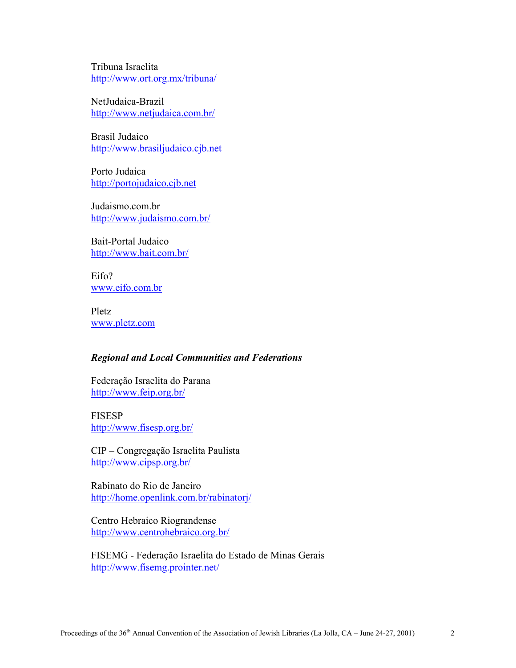Tribuna Israelita http://www.ort.org.mx/tribuna/

NetJudaica-Brazil http://www.netjudaica.com.br/

Brasil Judaico http://www.brasiljudaico.cjb.net

Porto Judaica http://portojudaico.cjb.net

Judaismo.com.br http://www.judaismo.com.br/

Bait-Portal Judaico http://www.bait.com.br/

Eifo? www.eifo.com.br

Pletz www.pletz.com

### *Regional and Local Communities and Federations*

Federação Israelita do Parana http://www.feip.org.br/

FISESP http://www.fisesp.org.br/

CIP – Congregação Israelita Paulista http://www.cipsp.org.br/

Rabinato do Rio de Janeiro http://home.openlink.com.br/rabinatorj/

Centro Hebraico Riograndense http://www.centrohebraico.org.br/

FISEMG - Federação Israelita do Estado de Minas Gerais http://www.fisemg.prointer.net/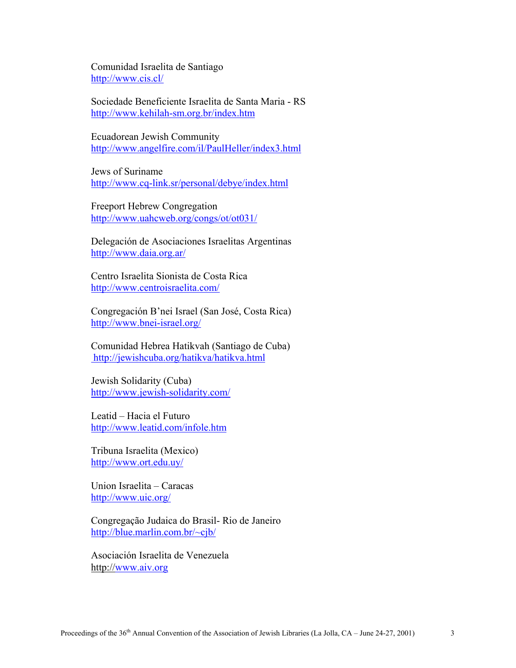Comunidad Israelita de Santiago http://www.cis.cl/

Sociedade Beneficiente Israelita de Santa Maria - RS http://www.kehilah-sm.org.br/index.htm

Ecuadorean Jewish Community http://www.angelfire.com/il/PaulHeller/index3.html

Jews of Suriname http://www.cq-link.sr/personal/debye/index.html

Freeport Hebrew Congregation http://www.uahcweb.org/congs/ot/ot031/

Delegación de Asociaciones Israelitas Argentinas http://www.daia.org.ar/

Centro Israelita Sionista de Costa Rica http://www.centroisraelita.com/

Congregación B'nei Israel (San José, Costa Rica) http://www.bnei-israel.org/

Comunidad Hebrea Hatikvah (Santiago de Cuba) http://jewishcuba.org/hatikva/hatikva.html

Jewish Solidarity (Cuba) http://www.jewish-solidarity.com/

Leatid – Hacia el Futuro http://www.leatid.com/infole.htm

Tribuna Israelita (Mexico) http://www.ort.edu.uy/

Union Israelita – Caracas http://www.uic.org/

Congregação Judaica do Brasil- Rio de Janeiro http://blue.marlin.com.br/~cjb/

Asociación Israelita de Venezuela http://www.aiv.org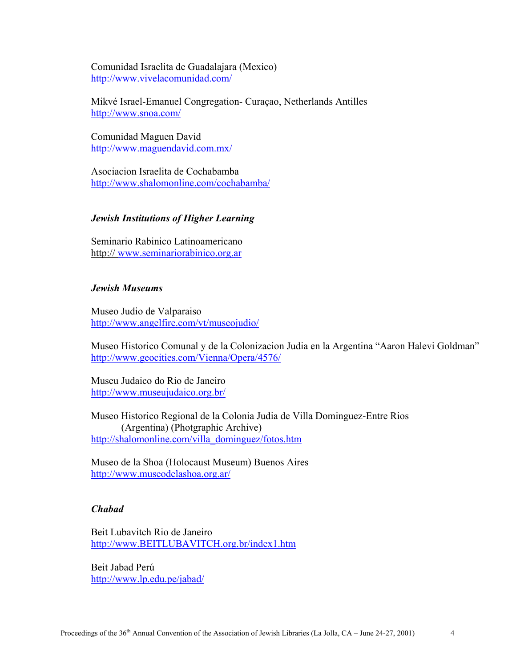Comunidad Israelita de Guadalajara (Mexico) http://www.vivelacomunidad.com/

Mikvé Israel-Emanuel Congregation- Curaçao, Netherlands Antilles http://www.snoa.com/

Comunidad Maguen David http://www.maguendavid.com.mx/

Asociacion Israelita de Cochabamba http://www.shalomonline.com/cochabamba/

### *Jewish Institutions of Higher Learning*

Seminario Rabinico Latinoamericano http:// www.seminariorabinico.org.ar

## *Jewish Museums*

Museo Judio de Valparaiso http://www.angelfire.com/vt/museojudio/

Museo Historico Comunal y de la Colonizacion Judia en la Argentina "Aaron Halevi Goldman" http://www.geocities.com/Vienna/Opera/4576/

Museu Judaico do Rio de Janeiro http://www.museujudaico.org.br/

Museo Historico Regional de la Colonia Judia de Villa Dominguez-Entre Rios (Argentina) (Photgraphic Archive) http://shalomonline.com/villa\_dominguez/fotos.htm

Museo de la Shoa (Holocaust Museum) Buenos Aires http://www.museodelashoa.org.ar/

### *Chabad*

Beit Lubavitch Rio de Janeiro http://www.BEITLUBAVITCH.org.br/index1.htm

Beit Jabad Perú http://www.lp.edu.pe/jabad/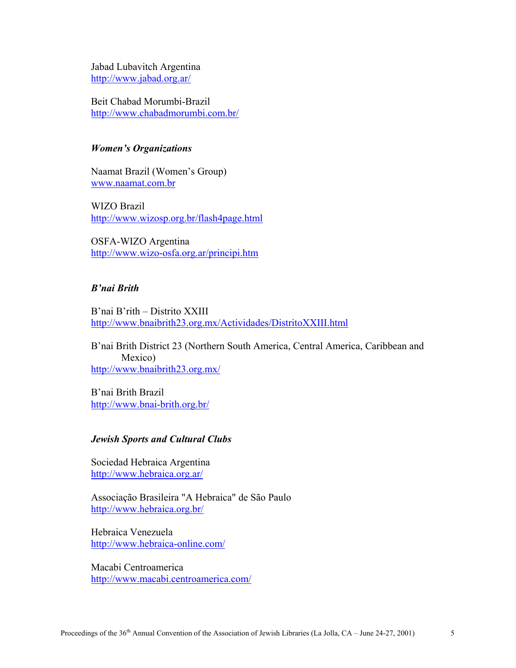Jabad Lubavitch Argentina http://www.jabad.org.ar/

Beit Chabad Morumbi-Brazil http://www.chabadmorumbi.com.br/

# *Women's Organizations*

Naamat Brazil (Women's Group) www.naamat.com.br

WIZO Brazil http://www.wizosp.org.br/flash4page.html

OSFA-WIZO Argentina http://www.wizo-osfa.org.ar/principi.htm

## *B'nai Brith*

B'nai B'rith – Distrito XXIII http://www.bnaibrith23.org.mx/Actividades/DistritoXXIII.html

B'nai Brith District 23 (Northern South America, Central America, Caribbean and Mexico) http://www.bnaibrith23.org.mx/

B'nai Brith Brazil http://www.bnai-brith.org.br/

#### *Jewish Sports and Cultural Clubs*

Sociedad Hebraica Argentina http://www.hebraica.org.ar/

Associação Brasileira "A Hebraica" de São Paulo http://www.hebraica.org.br/

Hebraica Venezuela http://www.hebraica-online.com/

Macabi Centroamerica http://www.macabi.centroamerica.com/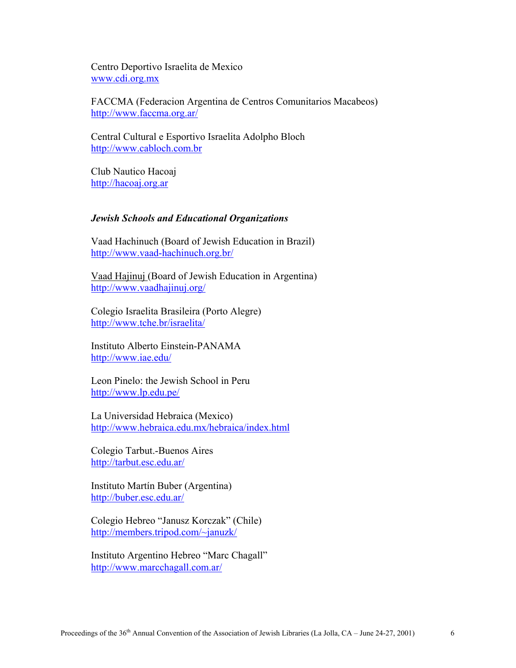Centro Deportivo Israelita de Mexico www.cdi.org.mx

FACCMA (Federacion Argentina de Centros Comunitarios Macabeos) http://www.faccma.org.ar/

Central Cultural e Esportivo Israelita Adolpho Bloch http://www.cabloch.com.br

Club Nautico Hacoaj http://hacoaj.org.ar

# *Jewish Schools and Educational Organizations*

Vaad Hachinuch (Board of Jewish Education in Brazil) http://www.vaad-hachinuch.org.br/

Vaad Hajinuj (Board of Jewish Education in Argentina) http://www.vaadhajinuj.org/

Colegio Israelita Brasileira (Porto Alegre) http://www.tche.br/israelita/

Instituto Alberto Einstein-PANAMA http://www.iae.edu/

Leon Pinelo: the Jewish School in Peru http://www.lp.edu.pe/

La Universidad Hebraica (Mexico) http://www.hebraica.edu.mx/hebraica/index.html

Colegio Tarbut.-Buenos Aires http://tarbut.esc.edu.ar/

Instituto Martín Buber (Argentina) http://buber.esc.edu.ar/

Colegio Hebreo "Janusz Korczak" (Chile) http://members.tripod.com/~januzk/

Instituto Argentino Hebreo "Marc Chagall" http://www.marcchagall.com.ar/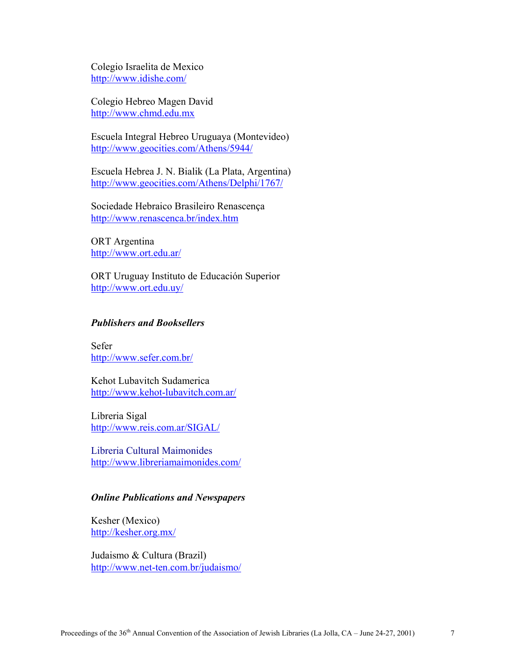Colegio Israelita de Mexico http://www.idishe.com/

Colegio Hebreo Magen David http://www.chmd.edu.mx

Escuela Integral Hebreo Uruguaya (Montevideo) http://www.geocities.com/Athens/5944/

Escuela Hebrea J. N. Bialik (La Plata, Argentina) http://www.geocities.com/Athens/Delphi/1767/

Sociedade Hebraico Brasileiro Renascença http://www.renascenca.br/index.htm

ORT Argentina http://www.ort.edu.ar/

ORT Uruguay Instituto de Educación Superior http://www.ort.edu.uy/

### *Publishers and Booksellers*

Sefer http://www.sefer.com.br/

Kehot Lubavitch Sudamerica http://www.kehot-lubavitch.com.ar/

Libreria Sigal http://www.reis.com.ar/SIGAL/

Libreria Cultural Maimonides http://www.libreriamaimonides.com/

# *Online Publications and Newspapers*

Kesher (Mexico) http://kesher.org.mx/

Judaismo & Cultura (Brazil) http://www.net-ten.com.br/judaismo/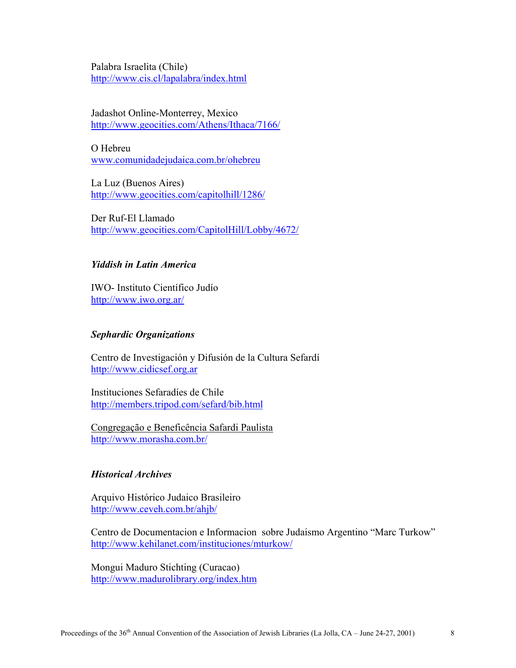Palabra Israelita (Chile) http://www.cis.cl/lapalabra/index.html

Jadashot Online-Monterrey, Mexico http://www.geocities.com/Athens/Ithaca/7166/

O Hebreu www.comunidadejudaica.com.br/ohebreu

La Luz (Buenos Aires) http://www.geocities.com/capitolhill/1286/

Der Ruf-El Llamado http://www.geocities.com/CapitolHill/Lobby/4672/

# *Yiddish in Latin America*

IWO- Instituto Científico Judío http://www.iwo.org.ar/

### *Sephardic Organizations*

Centro de Investigación y Difusión de la Cultura Sefardí http://www.cidicsef.org.ar

Instituciones Sefaradíes de Chile http://members.tripod.com/sefard/bib.html

Congregação e Beneficência Safardi Paulista http://www.morasha.com.br/

### *Historical Archives*

Arquivo Histórico Judaico Brasileiro http://www.ceveh.com.br/ahjb/

Centro de Documentacion e Informacion sobre Judaismo Argentino "Marc Turkow" http://www.kehilanet.com/instituciones/mturkow/

Mongui Maduro Stichting (Curacao) http://www.madurolibrary.org/index.htm